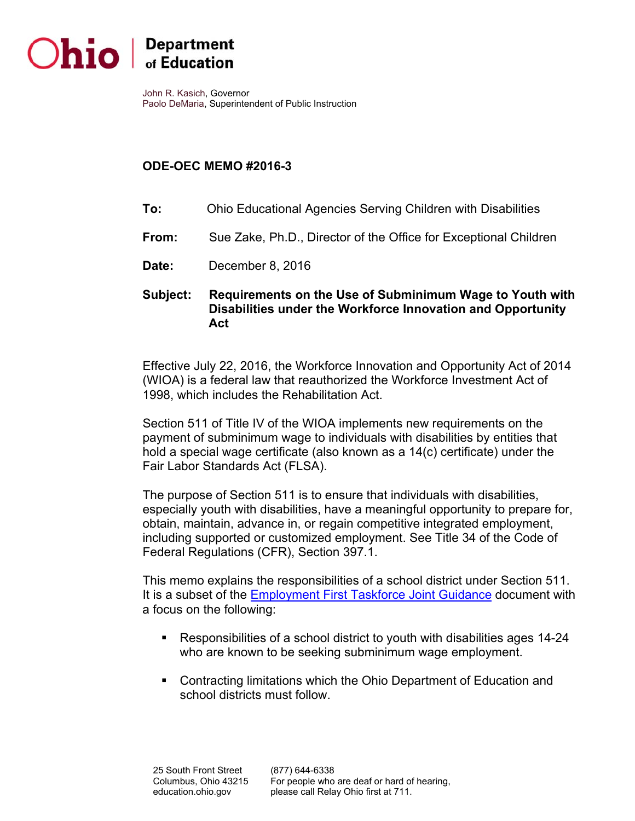

John R. Kasich, Governor

Paolo DeMaria, Superintendent of Public Instruction

## **ODE-OEC MEMO #2016-3**

- **To:** Ohio Educational Agencies Serving Children with Disabilities
- **From:** Sue Zake, Ph.D., Director of the Office for Exceptional Children
- **Date:** December 8, 2016
- Subject: **Requirements on the Use of Subminimum Wage to Youth with Disabilities under the Workforce Innovation and Opportunity Act**

Effective July 22, 2016, the Workforce Innovation and Opportunity Act of 2014 (WIOA) is a federal law that reauthorized the Workforce Investment Act of 1998, which includes the Rehabilitation Act.

Section 511 of Title IV of the WIOA implements new requirements on the payment of subminimum wage to individuals with disabilities by entities that hold a special wage certificate (also known as a 14(c) certificate) under the Fair Labor Standards Act (FLSA).

The purpose of Section 511 is to ensure that individuals with disabilities, especially youth with disabilities, have a meaningful opportunity to prepare for, obtain, maintain, advance in, or regain competitive integrated employment, including supported or customized employment. See Title 34 of the Code of Federal Regulations (CFR), Section 397.1.

This memo explains the responsibilities of a school district under Section 511. It is a subset of the Employment First Taskforce Joint Guidance document with a focus on the following:

- Responsibilities of a school district to youth with disabilities ages 14-24 who are known to be seeking subminimum wage employment.
- Contracting limitations which the Ohio Department of Education and school districts must follow.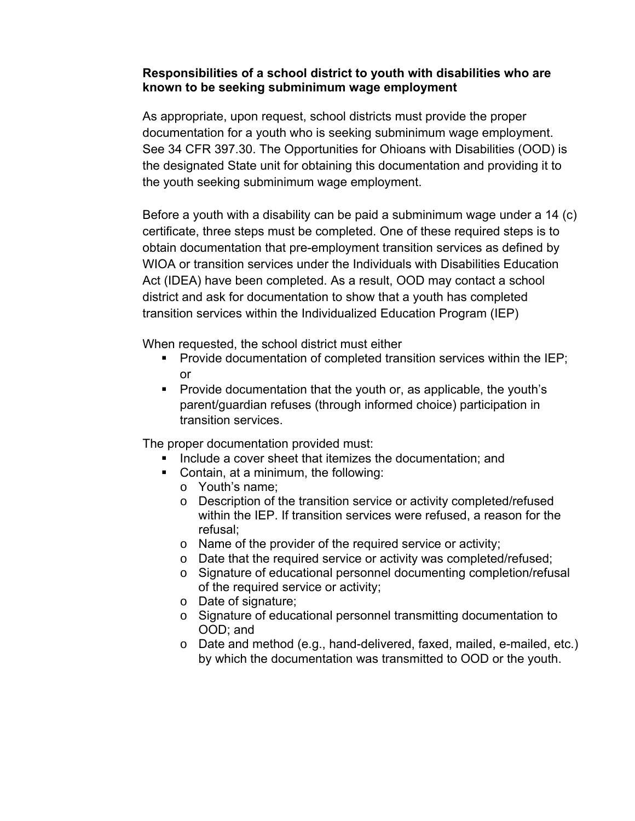## **Responsibilities of a school district to youth with disabilities who are known to be seeking subminimum wage employment**

As appropriate, upon request, school districts must provide the proper documentation for a youth who is seeking subminimum wage employment. See 34 CFR 397.30. The Opportunities for Ohioans with Disabilities (OOD) is the designated State unit for obtaining this documentation and providing it to the youth seeking subminimum wage employment.

Before a youth with a disability can be paid a subminimum wage under a 14 (c) certificate, three steps must be completed. One of these required steps is to obtain documentation that pre-employment transition services as defined by WIOA or transition services under the Individuals with Disabilities Education Act (IDEA) have been completed. As a result, OOD may contact a school district and ask for documentation to show that a youth has completed transition services within the Individualized Education Program (IEP)

When requested, the school district must either

- **Provide documentation of completed transition services within the IEP;** or
- Provide documentation that the youth or, as applicable, the youth's parent/guardian refuses (through informed choice) participation in transition services.

The proper documentation provided must:

- **If** Include a cover sheet that itemizes the documentation; and
- Contain, at a minimum, the following:
	- $\circ$  Youth's name:
	- o Description of the transition service or activity completed/refused within the IEP. If transition services were refused, a reason for the refusal;
	- $\circ$  Name of the provider of the required service or activity;
	- o Date that the required service or activity was completed/refused;
	- o Signature of educational personnel documenting completion/refusal of the required service or activity;
	- o Date of signature;
	- o Signature of educational personnel transmitting documentation to OOD; and
	- o Date and method (e.g., hand-delivered, faxed, mailed, e-mailed, etc.) by which the documentation was transmitted to OOD or the youth.